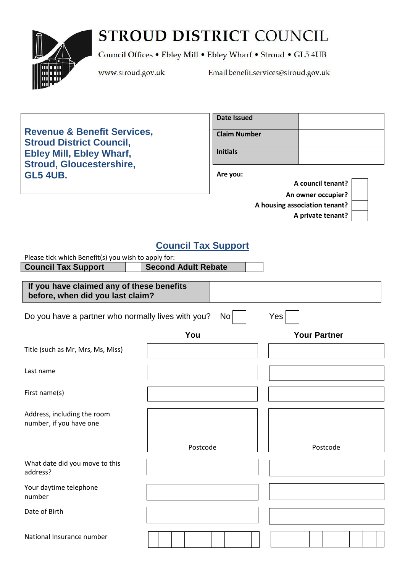# STROUD DISTRICT COUNCIL



Council Offices . Ebley Mill . Ebley Wharf . Stroud . GL5 4UB

www.stroud.gov.uk

Email benefit.services@stroud.gov.uk

**Revenue & Benefit Services, Stroud District Council, Ebley Mill, Ebley Wharf, Stroud, Gloucestershire, GL5 4UB.**

| Date Issued         |  |
|---------------------|--|
| <b>Claim Number</b> |  |
| <b>Initials</b>     |  |

**Are you:**

| A council tenant?                     |  |
|---------------------------------------|--|
| An owner occupier?                    |  |
| A housing association tenant? $\vert$ |  |
| A private tenant?                     |  |

## **Council Tax Support**

| Please tick which Benefit(s) you wish to apply for:                           |                            |                     |
|-------------------------------------------------------------------------------|----------------------------|---------------------|
| <b>Council Tax Support</b>                                                    | <b>Second Adult Rebate</b> |                     |
| If you have claimed any of these benefits<br>before, when did you last claim? |                            |                     |
| Do you have a partner who normally lives with you?                            | No                         | Yes                 |
|                                                                               | You                        | <b>Your Partner</b> |
| Title (such as Mr, Mrs, Ms, Miss)                                             |                            |                     |
| Last name                                                                     |                            |                     |
| First name(s)                                                                 |                            |                     |
| Address, including the room<br>number, if you have one                        |                            |                     |
|                                                                               | Postcode                   | Postcode            |
| What date did you move to this<br>address?                                    |                            |                     |
| Your daytime telephone<br>number                                              |                            |                     |
| Date of Birth                                                                 |                            |                     |
| National Insurance number                                                     |                            |                     |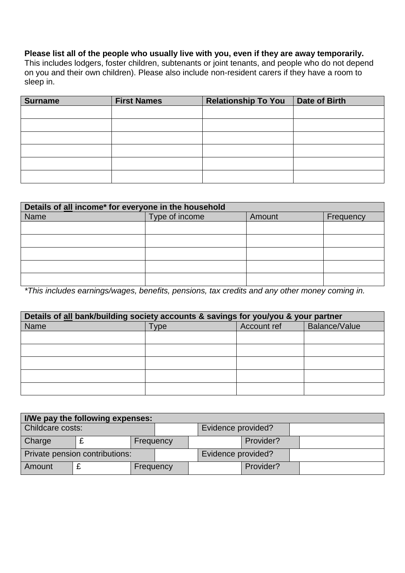### **Please list all of the people who usually live with you, even if they are away temporarily.**

This includes lodgers, foster children, subtenants or joint tenants, and people who do not depend on you and their own children). Please also include non-resident carers if they have a room to sleep in.

| Surname | <b>First Names</b> | <b>Relationship To You</b> | Date of Birth |
|---------|--------------------|----------------------------|---------------|
|         |                    |                            |               |
|         |                    |                            |               |
|         |                    |                            |               |
|         |                    |                            |               |
|         |                    |                            |               |
|         |                    |                            |               |

| Details of all income* for everyone in the household |                                       |  |  |
|------------------------------------------------------|---------------------------------------|--|--|
| Name                                                 | Type of income<br>Frequency<br>Amount |  |  |
|                                                      |                                       |  |  |
|                                                      |                                       |  |  |
|                                                      |                                       |  |  |
|                                                      |                                       |  |  |
|                                                      |                                       |  |  |

*\*This includes earnings/wages, benefits, pensions, tax credits and any other money coming in.*

| Details of all bank/building society accounts & savings for you/you & your partner |      |             |               |
|------------------------------------------------------------------------------------|------|-------------|---------------|
| <b>Name</b>                                                                        | Type | Account ref | Balance/Value |
|                                                                                    |      |             |               |
|                                                                                    |      |             |               |
|                                                                                    |      |             |               |
|                                                                                    |      |             |               |
|                                                                                    |      |             |               |

| I/We pay the following expenses: |  |                    |                    |           |  |
|----------------------------------|--|--------------------|--------------------|-----------|--|
| Childcare costs:                 |  |                    | Evidence provided? |           |  |
| Charge                           |  | Frequency          |                    | Provider? |  |
| Private pension contributions:   |  | Evidence provided? |                    |           |  |
| Amount                           |  | Frequency          |                    | Provider? |  |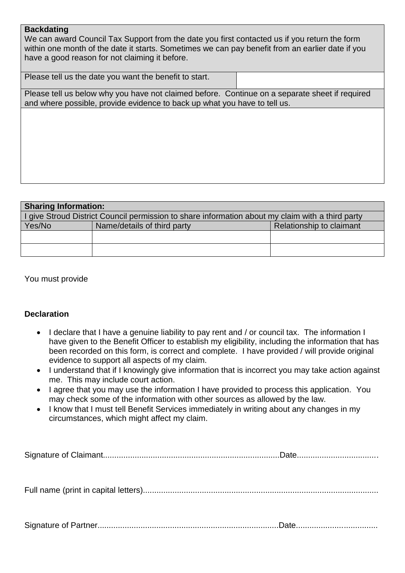#### **Backdating**

We can award Council Tax Support from the date you first contacted us if you return the form within one month of the date it starts. Sometimes we can pay benefit from an earlier date if you have a good reason for not claiming it before.

| Please tell us the date you want the benefit to start.                                         |  |
|------------------------------------------------------------------------------------------------|--|
| Please tell us below why you have not claimed before. Continue on a separate sheet if required |  |

and where possible, provide evidence to back up what you have to tell us.

| <b>Sharing Information:</b>                                                                      |                             |                          |  |
|--------------------------------------------------------------------------------------------------|-----------------------------|--------------------------|--|
| I give Stroud District Council permission to share information about my claim with a third party |                             |                          |  |
| Yes/No                                                                                           | Name/details of third party | Relationship to claimant |  |
|                                                                                                  |                             |                          |  |
|                                                                                                  |                             |                          |  |

You must provide

#### **Declaration**

- I declare that I have a genuine liability to pay rent and / or council tax. The information I have given to the Benefit Officer to establish my eligibility, including the information that has been recorded on this form, is correct and complete. I have provided / will provide original evidence to support all aspects of my claim.
- I understand that if I knowingly give information that is incorrect you may take action against me. This may include court action.
- I agree that you may use the information I have provided to process this application. You may check some of the information with other sources as allowed by the law.
- I know that I must tell Benefit Services immediately in writing about any changes in my circumstances, which might affect my claim.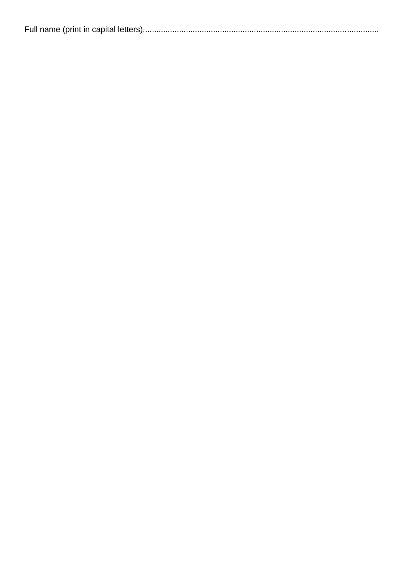|--|--|